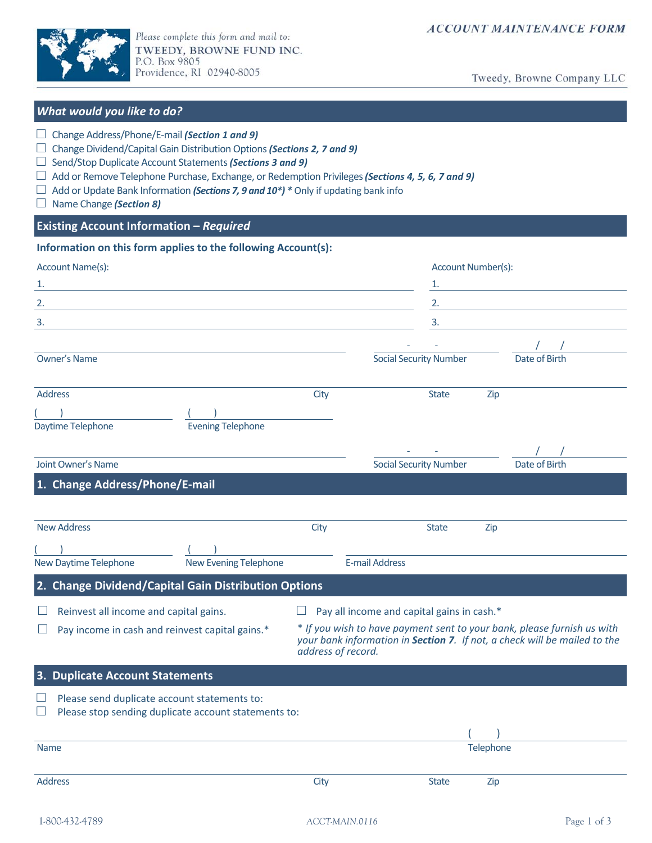

Please complete this form and mail to: TWEEDY, BROWNE FUND INC.<br>P.O. Box 9805<br>Providence, RI 02940-8005

Tweedy, Browne Company LLC

| What would you like to do?                                                                                                                                                                                                                                                                                                                                                                                  |                                                                                                                                                                            |                                            |                                                                                                                       |
|-------------------------------------------------------------------------------------------------------------------------------------------------------------------------------------------------------------------------------------------------------------------------------------------------------------------------------------------------------------------------------------------------------------|----------------------------------------------------------------------------------------------------------------------------------------------------------------------------|--------------------------------------------|-----------------------------------------------------------------------------------------------------------------------|
| Change Address/Phone/E-mail (Section 1 and 9)<br>Change Dividend/Capital Gain Distribution Options (Sections 2, 7 and 9)<br>Send/Stop Duplicate Account Statements (Sections 3 and 9)<br>Add or Remove Telephone Purchase, Exchange, or Redemption Privileges (Sections 4, 5, 6, 7 and 9)<br>Add or Update Bank Information (Sections 7, 9 and 10*) * Only if updating bank info<br>Name Change (Section 8) |                                                                                                                                                                            |                                            |                                                                                                                       |
| <b>Existing Account Information - Required</b>                                                                                                                                                                                                                                                                                                                                                              |                                                                                                                                                                            |                                            |                                                                                                                       |
| Information on this form applies to the following Account(s):                                                                                                                                                                                                                                                                                                                                               |                                                                                                                                                                            |                                            |                                                                                                                       |
| Account Name(s):                                                                                                                                                                                                                                                                                                                                                                                            |                                                                                                                                                                            |                                            | Account Number(s):                                                                                                    |
| <u> 1989 - Johann Stoff, deutscher Stoff, der Stoff, der Stoff, der Stoff, der Stoff, der Stoff, der Stoff, der S</u>                                                                                                                                                                                                                                                                                       |                                                                                                                                                                            |                                            |                                                                                                                       |
| <u> 1989 - Johann Barn, fransk politik (f. 1989)</u>                                                                                                                                                                                                                                                                                                                                                        |                                                                                                                                                                            |                                            |                                                                                                                       |
| 3.<br><u> 1989 - Johann Stein, marwolaethau a bhann an t-Amhainn an t-Amhainn an t-Amhainn an t-Amhainn an t-Amhainn a</u>                                                                                                                                                                                                                                                                                  |                                                                                                                                                                            | 3.                                         | <u> 1989 - Johann Barn, mars ann an t-Amhain an t-Amhain an t-Amhain an t-Amhain an t-Amhain an t-Amhain an t-Amh</u> |
|                                                                                                                                                                                                                                                                                                                                                                                                             |                                                                                                                                                                            |                                            |                                                                                                                       |
| <b>Owner's Name</b>                                                                                                                                                                                                                                                                                                                                                                                         |                                                                                                                                                                            | <b>Social Security Number</b>              | Date of Birth                                                                                                         |
| <b>Address</b>                                                                                                                                                                                                                                                                                                                                                                                              | City                                                                                                                                                                       | <b>State</b>                               | Zip                                                                                                                   |
|                                                                                                                                                                                                                                                                                                                                                                                                             |                                                                                                                                                                            |                                            |                                                                                                                       |
| Daytime Telephone<br><b>Evening Telephone</b>                                                                                                                                                                                                                                                                                                                                                               |                                                                                                                                                                            |                                            |                                                                                                                       |
|                                                                                                                                                                                                                                                                                                                                                                                                             |                                                                                                                                                                            |                                            |                                                                                                                       |
| Joint Owner's Name                                                                                                                                                                                                                                                                                                                                                                                          |                                                                                                                                                                            | <b>Social Security Number</b>              | Date of Birth                                                                                                         |
| 1. Change Address/Phone/E-mail                                                                                                                                                                                                                                                                                                                                                                              |                                                                                                                                                                            |                                            |                                                                                                                       |
|                                                                                                                                                                                                                                                                                                                                                                                                             |                                                                                                                                                                            |                                            |                                                                                                                       |
| <b>New Address</b>                                                                                                                                                                                                                                                                                                                                                                                          | City                                                                                                                                                                       | <b>State</b>                               | Zip                                                                                                                   |
|                                                                                                                                                                                                                                                                                                                                                                                                             |                                                                                                                                                                            |                                            |                                                                                                                       |
| New Daytime Telephone<br>New Evening Telephone                                                                                                                                                                                                                                                                                                                                                              |                                                                                                                                                                            | <b>E-mail Address</b>                      |                                                                                                                       |
| 2. Change Dividend/Capital Gain Distribution Options                                                                                                                                                                                                                                                                                                                                                        |                                                                                                                                                                            |                                            |                                                                                                                       |
| Reinvest all income and capital gains.                                                                                                                                                                                                                                                                                                                                                                      |                                                                                                                                                                            | Pay all income and capital gains in cash.* |                                                                                                                       |
| Pay income in cash and reinvest capital gains.*                                                                                                                                                                                                                                                                                                                                                             | * If you wish to have payment sent to your bank, please furnish us with<br>your bank information in Section 7. If not, a check will be mailed to the<br>address of record. |                                            |                                                                                                                       |
| 3. Duplicate Account Statements                                                                                                                                                                                                                                                                                                                                                                             |                                                                                                                                                                            |                                            |                                                                                                                       |
| Please send duplicate account statements to:<br>Please stop sending duplicate account statements to:                                                                                                                                                                                                                                                                                                        |                                                                                                                                                                            |                                            |                                                                                                                       |
|                                                                                                                                                                                                                                                                                                                                                                                                             |                                                                                                                                                                            |                                            |                                                                                                                       |
| <b>Name</b>                                                                                                                                                                                                                                                                                                                                                                                                 |                                                                                                                                                                            |                                            | Telephone                                                                                                             |
|                                                                                                                                                                                                                                                                                                                                                                                                             |                                                                                                                                                                            |                                            |                                                                                                                       |
| <b>Address</b>                                                                                                                                                                                                                                                                                                                                                                                              | City                                                                                                                                                                       | <b>State</b>                               | Zip                                                                                                                   |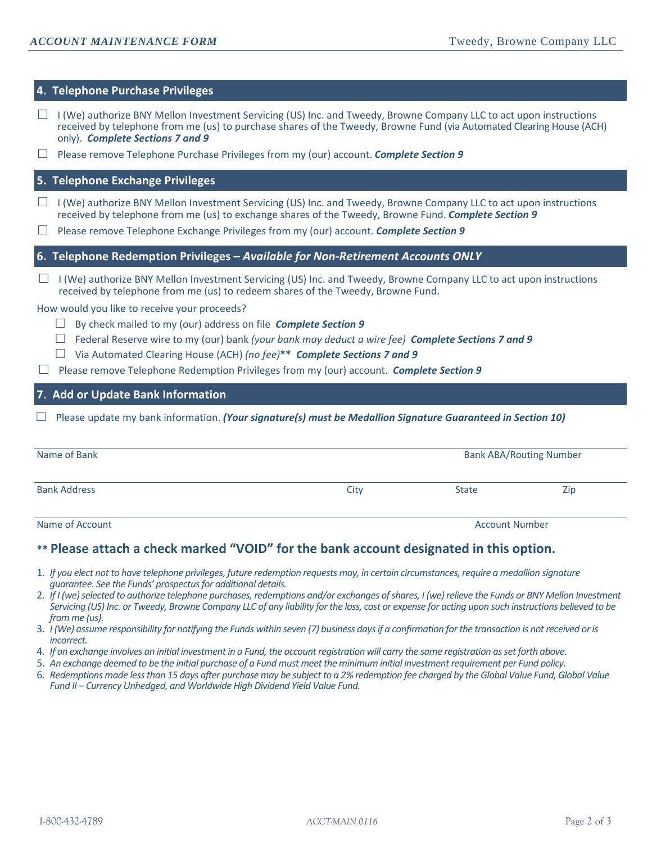# **4. Telephone Purchase Privileges**

- $\Box$  I (We) authorize BNY Mellon Investment Servicing (US) Inc. and Tweedy, Browne Company LLC to act upon instructions received by telephone from me (us) to purchase shares of the Tweedy, Browne Fund (via Automated Clearing House (ACH) only). *Complete Sections 7 and 9*
- □ Please remove Telephone Purchase Privileges from my (our) account. *Complete Section 9*

## **5. Telephone Exchange Privileges**

- $\Box$  I (We) authorize BNY Mellon Investment Servicing (US) Inc. and Tweedy, Browne Company LLC to act upon instructions received by telephone from me (us) to exchange shares of the Tweedy, Browne Fund. *Complete Section 9*
- □ Please remove Telephone Exchange Privileges from my (our) account. *Complete Section 9*

## **6. Telephone Redemption Privileges –** *Available for Non-Retirement Accounts ONLY*

 $\Box$  I (We) authorize BNY Mellon Investment Servicing (US) Inc. and Tweedy, Browne Company LLC to act upon instructions received by telephone from me (us) to redeem shares of the Tweedy, Browne Fund.

#### How would you like to receive your proceeds?

- □ By check mailed to my (our) address on file *Complete Section 9*
- □ Federal Reserve wire to my (our) bank *(your bank may deduct a wire fee) Complete Sections 7 and 9*
- □ Via Automated Clearing House (ACH) *(no fee)***\*\*** *Complete Sections 7 and 9*
- □ Please remove Telephone Redemption Privileges from my (our) account. *Complete Section 9*

# **7. Add or Update Bank Information**

□ Please update my bank information. *(Your signature(s) must be Medallion Signature Guaranteed in Section 10)*

| Name of Bank        | <b>Bank ABA/Routing Number</b> |              |     |
|---------------------|--------------------------------|--------------|-----|
| <b>Bank Address</b> | City                           | <b>State</b> | Zip |

Name of Account Number and Account Number and Account Number and Account Number and Account Number and Account Number

# **\*\* Please attach a check marked "VOID" for the bank account designated in this option.**

- 1. *If you elect not to have telephone privileges, future redemption requests may, in certain circumstances, require a medallion signature guarantee. See the Funds' prospectus for additional details.*
- 2. *If I (we) selected to authorize telephone purchases, redemptions and/or exchanges of shares, I (we) relieve the Funds or BNY Mellon Investment Servicing (US) Inc. or Tweedy, Browne Company LLC of any liability for the loss, cost or expense for acting upon such instructions believed to be from me (us).*
- 3. *I (We) assume responsibility for notifying the Funds within seven (7) business days if a confirmation for the transaction is not received or is incorrect.*
- 4. *If an exchange involves an initial investment in a Fund, the account registration will carry the same registration as set forth above.*
- 5. *An exchange deemed to be the initial purchase of a Fund must meet the minimum initial investment requirement per Fund policy.*
- 6. *Redemptions made less than 15 days after purchase may be subject to a 2% redemption fee charged by the Global Value Fund, Global Value Fund II – Currency Unhedged, and Worldwide High Dividend Yield Value Fund.*